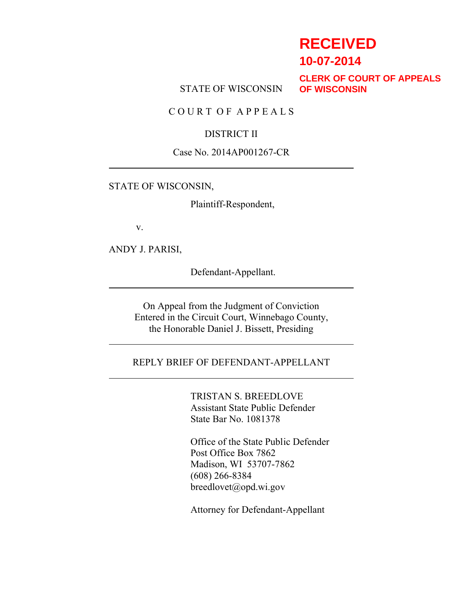# **RECEIVED**

**10-07-2014**

STATE OF WISCONSIN

**CLERK OF COURT OF APPEALS OF WISCONSIN**

C O U R T O F A P P E A L S

### DISTRICT II

#### Case No. 2014AP001267-CR

#### STATE OF WISCONSIN,

Plaintiff-Respondent,

v.

ANDY J. PARISI,

Defendant-Appellant.

On Appeal from the Judgment of Conviction Entered in the Circuit Court, Winnebago County, the Honorable Daniel J. Bissett, Presiding

#### REPLY BRIEF OF DEFENDANT-APPELLANT

TRISTAN S. BREEDLOVE Assistant State Public Defender State Bar No. 1081378

Office of the State Public Defender Post Office Box 7862 Madison, WI 53707-7862 (608) 266-8384 breedlovet@opd.wi.gov

Attorney for Defendant-Appellant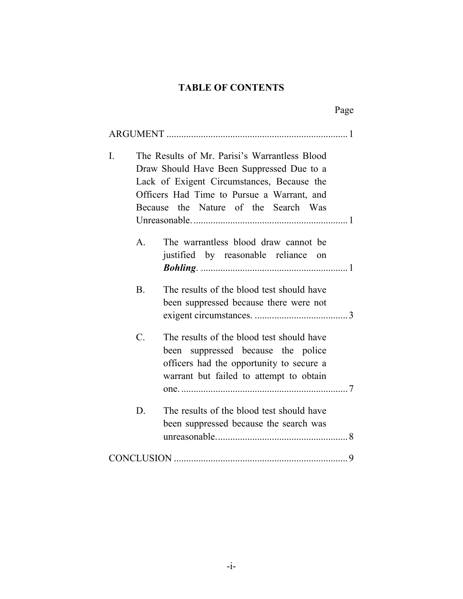# **TABLE OF CONTENTS**

| I. |                 | The Results of Mr. Parisi's Warrantless Blood<br>Draw Should Have Been Suppressed Due to a<br>Lack of Exigent Circumstances, Because the<br>Officers Had Time to Pursue a Warrant, and |  |
|----|-----------------|----------------------------------------------------------------------------------------------------------------------------------------------------------------------------------------|--|
|    |                 | Because the Nature of the Search Was                                                                                                                                                   |  |
|    |                 |                                                                                                                                                                                        |  |
|    | $\mathbf{A}$ .  | The warrantless blood draw cannot be<br>justified by reasonable reliance<br>on                                                                                                         |  |
|    |                 |                                                                                                                                                                                        |  |
|    | B <sub>1</sub>  | The results of the blood test should have                                                                                                                                              |  |
|    |                 | been suppressed because there were not                                                                                                                                                 |  |
|    | $\mathcal{C}$ . | The results of the blood test should have                                                                                                                                              |  |
|    |                 | been suppressed because the police                                                                                                                                                     |  |
|    |                 | officers had the opportunity to secure a                                                                                                                                               |  |
|    |                 | warrant but failed to attempt to obtain                                                                                                                                                |  |
|    |                 |                                                                                                                                                                                        |  |
|    | D.              | The results of the blood test should have                                                                                                                                              |  |
|    |                 | been suppressed because the search was                                                                                                                                                 |  |
|    |                 |                                                                                                                                                                                        |  |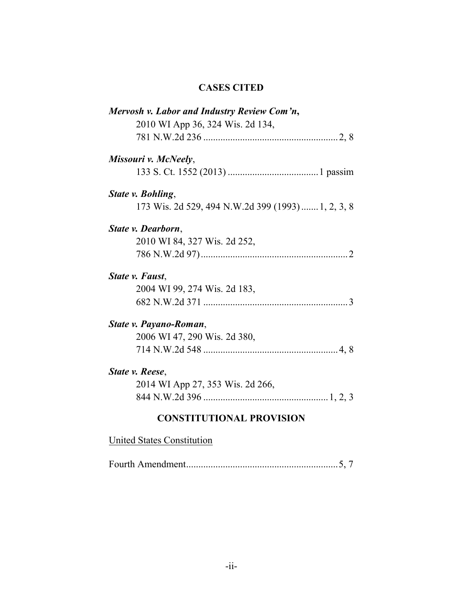# **CASES CITED**

| Mervosh v. Labor and Industry Review Com'n,        |
|----------------------------------------------------|
| 2010 WI App 36, 324 Wis. 2d 134,                   |
|                                                    |
| Missouri v. McNeely,                               |
|                                                    |
| State v. Bohling,                                  |
| 173 Wis. 2d 529, 494 N.W.2d 399 (1993)  1, 2, 3, 8 |
| State v. Dearborn,                                 |
| 2010 WI 84, 327 Wis. 2d 252,                       |
|                                                    |
| State v. Faust,                                    |
| 2004 WI 99, 274 Wis. 2d 183,                       |
|                                                    |
| State v. Payano-Roman,                             |
| 2006 WI 47, 290 Wis. 2d 380,                       |
|                                                    |
| State v. Reese,                                    |
| 2014 WI App 27, 353 Wis. 2d 266,                   |
|                                                    |
| <b>CONSTITUTIONAL PROVISION</b>                    |

# United States Constitution

Fourth Amendment..............................................................5, 7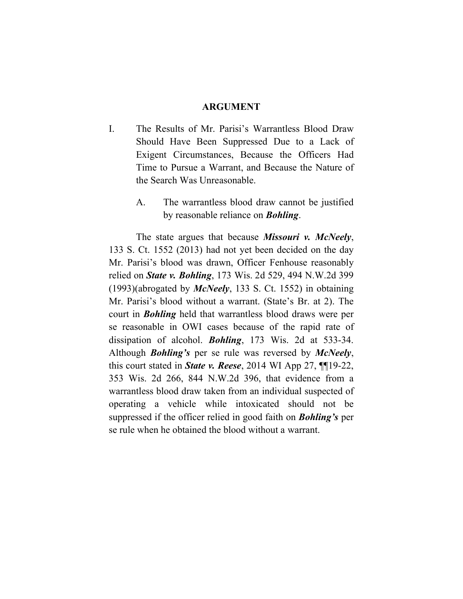#### **ARGUMENT**

- I. The Results of Mr. Parisi's Warrantless Blood Draw Should Have Been Suppressed Due to a Lack of Exigent Circumstances, Because the Officers Had Time to Pursue a Warrant, and Because the Nature of the Search Was Unreasonable.
	- A. The warrantless blood draw cannot be justified by reasonable reliance on *Bohling*.

The state argues that because *Missouri v. McNeely*, 133 S. Ct. 1552 (2013) had not yet been decided on the day Mr. Parisi's blood was drawn, Officer Fenhouse reasonably relied on *State v. Bohling*, 173 Wis. 2d 529, 494 N.W.2d 399 (1993)(abrogated by *McNeely*, 133 S. Ct. 1552) in obtaining Mr. Parisi's blood without a warrant. (State's Br. at 2). The court in *Bohling* held that warrantless blood draws were per se reasonable in OWI cases because of the rapid rate of dissipation of alcohol. *Bohling*, 173 Wis. 2d at 533-34. Although *Bohling's* per se rule was reversed by *McNeely*, this court stated in *State v. Reese*, 2014 WI App 27, ¶¶19-22, 353 Wis. 2d 266, 844 N.W.2d 396, that evidence from a warrantless blood draw taken from an individual suspected of operating a vehicle while intoxicated should not be suppressed if the officer relied in good faith on *Bohling's* per se rule when he obtained the blood without a warrant.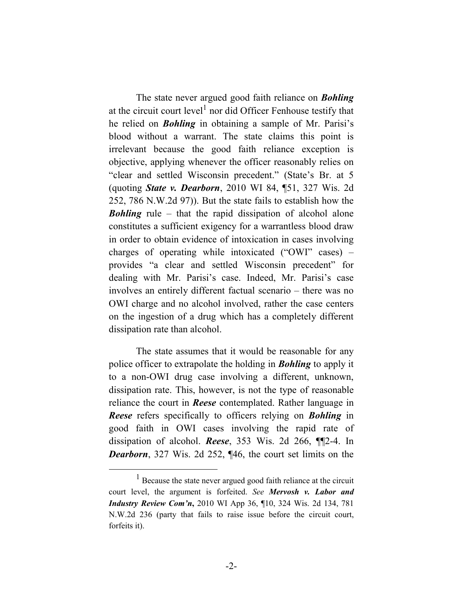The state never argued good faith reliance on *Bohling* at the circuit court level<sup>1</sup> nor did Officer Fenhouse testify that he relied on *Bohling* in obtaining a sample of Mr. Parisi's blood without a warrant. The state claims this point is irrelevant because the good faith reliance exception is objective, applying whenever the officer reasonably relies on "clear and settled Wisconsin precedent." (State's Br. at 5 (quoting *State v. Dearborn*, 2010 WI 84, ¶51, 327 Wis. 2d 252, 786 N.W.2d 97)). But the state fails to establish how the *Bohling* rule – that the rapid dissipation of alcohol alone constitutes a sufficient exigency for a warrantless blood draw in order to obtain evidence of intoxication in cases involving charges of operating while intoxicated ("OWI" cases) – provides "a clear and settled Wisconsin precedent" for dealing with Mr. Parisi's case. Indeed, Mr. Parisi's case involves an entirely different factual scenario – there was no OWI charge and no alcohol involved, rather the case centers on the ingestion of a drug which has a completely different dissipation rate than alcohol.

The state assumes that it would be reasonable for any police officer to extrapolate the holding in *Bohling* to apply it to a non-OWI drug case involving a different, unknown, dissipation rate. This, however, is not the type of reasonable reliance the court in *Reese* contemplated. Rather language in *Reese* refers specifically to officers relying on *Bohling* in good faith in OWI cases involving the rapid rate of dissipation of alcohol. *Reese*, 353 Wis. 2d 266, ¶¶2-4. In *Dearborn*, 327 Wis. 2d 252, ¶46, the court set limits on the

<sup>&</sup>lt;sup>1</sup> Because the state never argued good faith reliance at the circuit court level, the argument is forfeited. *See Mervosh v. Labor and Industry Review Com'n***,** 2010 WI App 36, ¶10, 324 Wis. 2d 134, 781 N.W.2d 236 (party that fails to raise issue before the circuit court, forfeits it).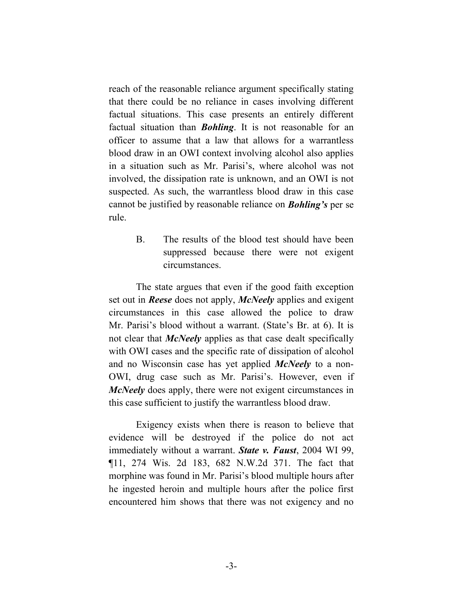reach of the reasonable reliance argument specifically stating that there could be no reliance in cases involving different factual situations. This case presents an entirely different factual situation than *Bohling*. It is not reasonable for an officer to assume that a law that allows for a warrantless blood draw in an OWI context involving alcohol also applies in a situation such as Mr. Parisi's, where alcohol was not involved, the dissipation rate is unknown, and an OWI is not suspected. As such, the warrantless blood draw in this case cannot be justified by reasonable reliance on *Bohling's* per se rule.

> B. The results of the blood test should have been suppressed because there were not exigent circumstances.

The state argues that even if the good faith exception set out in *Reese* does not apply, *McNeely* applies and exigent circumstances in this case allowed the police to draw Mr. Parisi's blood without a warrant. (State's Br. at 6). It is not clear that *McNeely* applies as that case dealt specifically with OWI cases and the specific rate of dissipation of alcohol and no Wisconsin case has yet applied *McNeely* to a non-OWI, drug case such as Mr. Parisi's. However, even if *McNeely* does apply, there were not exigent circumstances in this case sufficient to justify the warrantless blood draw.

Exigency exists when there is reason to believe that evidence will be destroyed if the police do not act immediately without a warrant. *State v. Faust*, 2004 WI 99, ¶11, 274 Wis. 2d 183, 682 N.W.2d 371. The fact that morphine was found in Mr. Parisi's blood multiple hours after he ingested heroin and multiple hours after the police first encountered him shows that there was not exigency and no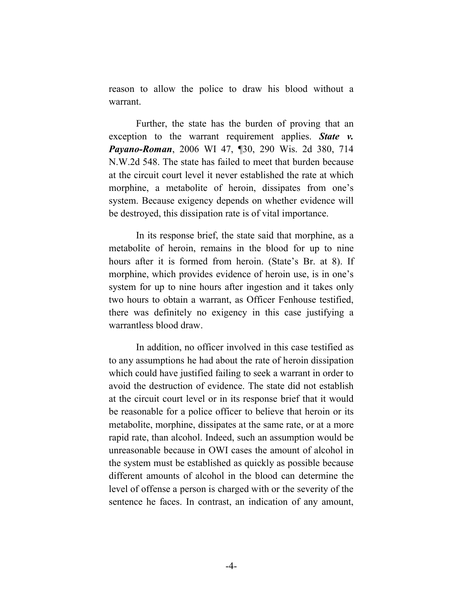reason to allow the police to draw his blood without a warrant.

Further, the state has the burden of proving that an exception to the warrant requirement applies. *State v. Payano-Roman*, 2006 WI 47, ¶30, 290 Wis. 2d 380, 714 N.W.2d 548. The state has failed to meet that burden because at the circuit court level it never established the rate at which morphine, a metabolite of heroin, dissipates from one's system. Because exigency depends on whether evidence will be destroyed, this dissipation rate is of vital importance.

In its response brief, the state said that morphine, as a metabolite of heroin, remains in the blood for up to nine hours after it is formed from heroin. (State's Br. at 8). If morphine, which provides evidence of heroin use, is in one's system for up to nine hours after ingestion and it takes only two hours to obtain a warrant, as Officer Fenhouse testified, there was definitely no exigency in this case justifying a warrantless blood draw.

In addition, no officer involved in this case testified as to any assumptions he had about the rate of heroin dissipation which could have justified failing to seek a warrant in order to avoid the destruction of evidence. The state did not establish at the circuit court level or in its response brief that it would be reasonable for a police officer to believe that heroin or its metabolite, morphine, dissipates at the same rate, or at a more rapid rate, than alcohol. Indeed, such an assumption would be unreasonable because in OWI cases the amount of alcohol in the system must be established as quickly as possible because different amounts of alcohol in the blood can determine the level of offense a person is charged with or the severity of the sentence he faces. In contrast, an indication of any amount,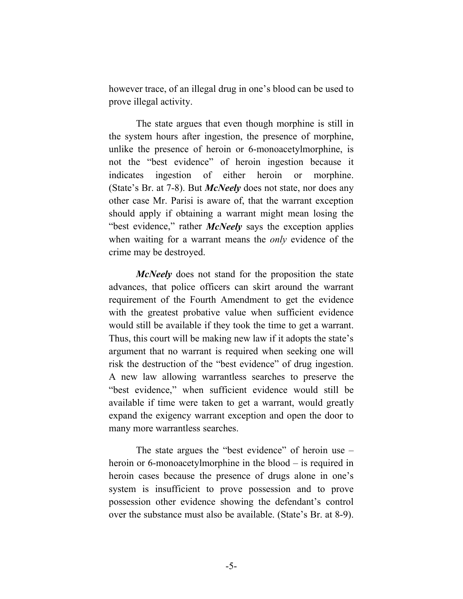however trace, of an illegal drug in one's blood can be used to prove illegal activity.

The state argues that even though morphine is still in the system hours after ingestion, the presence of morphine, unlike the presence of heroin or 6-monoacetylmorphine, is not the "best evidence" of heroin ingestion because it indicates ingestion of either heroin or morphine. (State's Br. at 7-8). But *McNeely* does not state, nor does any other case Mr. Parisi is aware of, that the warrant exception should apply if obtaining a warrant might mean losing the "best evidence," rather *McNeely* says the exception applies when waiting for a warrant means the *only* evidence of the crime may be destroyed.

*McNeely* does not stand for the proposition the state advances, that police officers can skirt around the warrant requirement of the Fourth Amendment to get the evidence with the greatest probative value when sufficient evidence would still be available if they took the time to get a warrant. Thus, this court will be making new law if it adopts the state's argument that no warrant is required when seeking one will risk the destruction of the "best evidence" of drug ingestion. A new law allowing warrantless searches to preserve the "best evidence," when sufficient evidence would still be available if time were taken to get a warrant, would greatly expand the exigency warrant exception and open the door to many more warrantless searches.

The state argues the "best evidence" of heroin use – heroin or 6-monoacetylmorphine in the blood – is required in heroin cases because the presence of drugs alone in one's system is insufficient to prove possession and to prove possession other evidence showing the defendant's control over the substance must also be available. (State's Br. at 8-9).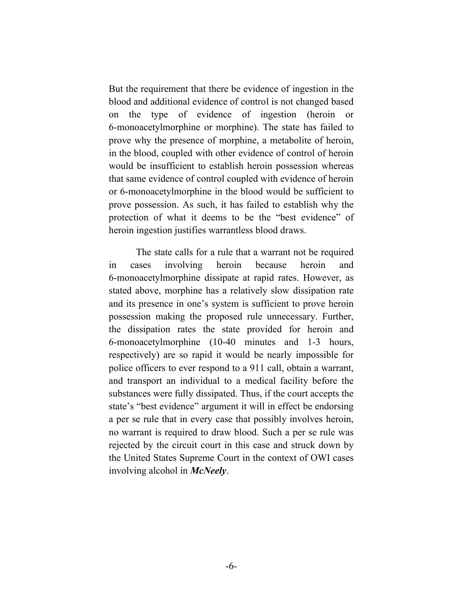But the requirement that there be evidence of ingestion in the blood and additional evidence of control is not changed based on the type of evidence of ingestion (heroin or 6-monoacetylmorphine or morphine). The state has failed to prove why the presence of morphine, a metabolite of heroin, in the blood, coupled with other evidence of control of heroin would be insufficient to establish heroin possession whereas that same evidence of control coupled with evidence of heroin or 6-monoacetylmorphine in the blood would be sufficient to prove possession. As such, it has failed to establish why the protection of what it deems to be the "best evidence" of heroin ingestion justifies warrantless blood draws.

The state calls for a rule that a warrant not be required in cases involving heroin because heroin and 6-monoacetylmorphine dissipate at rapid rates. However, as stated above, morphine has a relatively slow dissipation rate and its presence in one's system is sufficient to prove heroin possession making the proposed rule unnecessary. Further, the dissipation rates the state provided for heroin and 6-monoacetylmorphine (10-40 minutes and 1-3 hours, respectively) are so rapid it would be nearly impossible for police officers to ever respond to a 911 call, obtain a warrant, and transport an individual to a medical facility before the substances were fully dissipated. Thus, if the court accepts the state's "best evidence" argument it will in effect be endorsing a per se rule that in every case that possibly involves heroin, no warrant is required to draw blood. Such a per se rule was rejected by the circuit court in this case and struck down by the United States Supreme Court in the context of OWI cases involving alcohol in *McNeely*.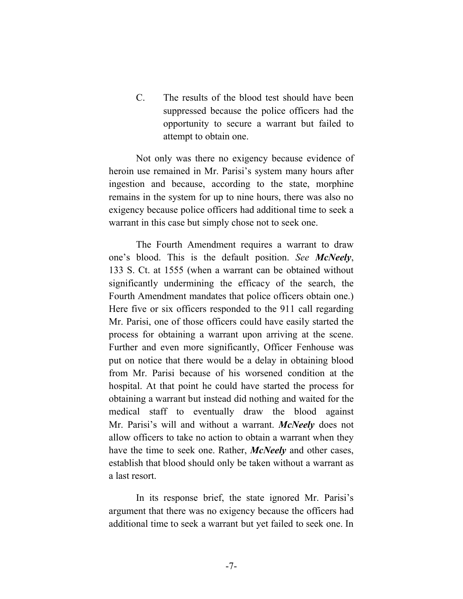C. The results of the blood test should have been suppressed because the police officers had the opportunity to secure a warrant but failed to attempt to obtain one.

Not only was there no exigency because evidence of heroin use remained in Mr. Parisi's system many hours after ingestion and because, according to the state, morphine remains in the system for up to nine hours, there was also no exigency because police officers had additional time to seek a warrant in this case but simply chose not to seek one.

The Fourth Amendment requires a warrant to draw one's blood. This is the default position. *See McNeely*, 133 S. Ct. at 1555 (when a warrant can be obtained without significantly undermining the efficacy of the search, the Fourth Amendment mandates that police officers obtain one.) Here five or six officers responded to the 911 call regarding Mr. Parisi, one of those officers could have easily started the process for obtaining a warrant upon arriving at the scene. Further and even more significantly, Officer Fenhouse was put on notice that there would be a delay in obtaining blood from Mr. Parisi because of his worsened condition at the hospital. At that point he could have started the process for obtaining a warrant but instead did nothing and waited for the medical staff to eventually draw the blood against Mr. Parisi's will and without a warrant. *McNeely* does not allow officers to take no action to obtain a warrant when they have the time to seek one. Rather, *McNeely* and other cases, establish that blood should only be taken without a warrant as a last resort.

In its response brief, the state ignored Mr. Parisi's argument that there was no exigency because the officers had additional time to seek a warrant but yet failed to seek one. In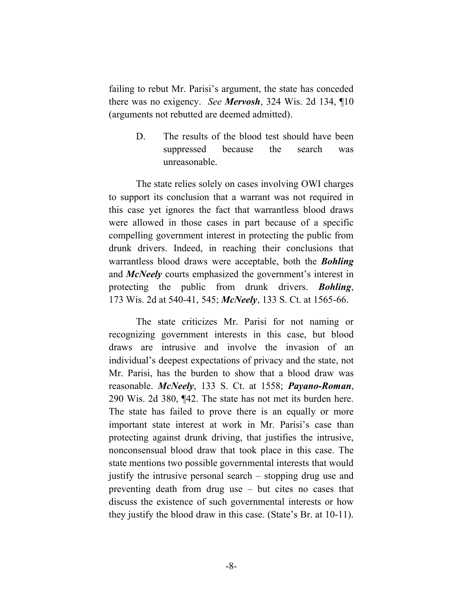failing to rebut Mr. Parisi's argument, the state has conceded there was no exigency. *See Mervosh*, 324 Wis. 2d 134, ¶10 (arguments not rebutted are deemed admitted).

> D. The results of the blood test should have been suppressed because the search was unreasonable.

The state relies solely on cases involving OWI charges to support its conclusion that a warrant was not required in this case yet ignores the fact that warrantless blood draws were allowed in those cases in part because of a specific compelling government interest in protecting the public from drunk drivers. Indeed, in reaching their conclusions that warrantless blood draws were acceptable, both the *Bohling* and *McNeely* courts emphasized the government's interest in protecting the public from drunk drivers. *Bohling*, 173 Wis. 2d at 540-41, 545; *McNeely*, 133 S. Ct. at 1565-66.

The state criticizes Mr. Parisi for not naming or recognizing government interests in this case, but blood draws are intrusive and involve the invasion of an individual's deepest expectations of privacy and the state, not Mr. Parisi, has the burden to show that a blood draw was reasonable. *McNeely*, 133 S. Ct. at 1558; *Payano-Roman*, 290 Wis. 2d 380, ¶42. The state has not met its burden here. The state has failed to prove there is an equally or more important state interest at work in Mr. Parisi's case than protecting against drunk driving, that justifies the intrusive, nonconsensual blood draw that took place in this case. The state mentions two possible governmental interests that would justify the intrusive personal search – stopping drug use and preventing death from drug use – but cites no cases that discuss the existence of such governmental interests or how they justify the blood draw in this case. (State's Br. at 10-11).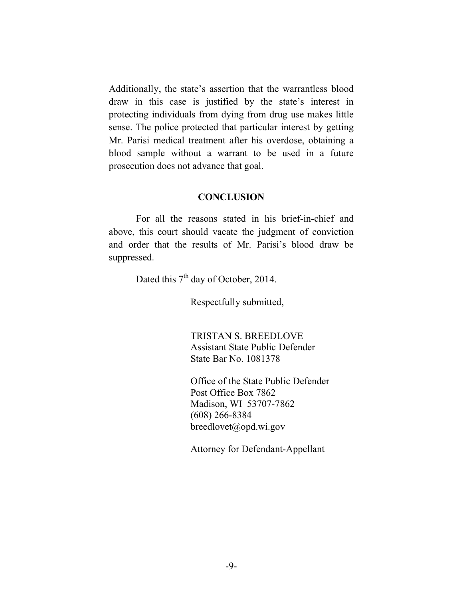Additionally, the state's assertion that the warrantless blood draw in this case is justified by the state's interest in protecting individuals from dying from drug use makes little sense. The police protected that particular interest by getting Mr. Parisi medical treatment after his overdose, obtaining a blood sample without a warrant to be used in a future prosecution does not advance that goal.

#### **CONCLUSION**

For all the reasons stated in his brief-in-chief and above, this court should vacate the judgment of conviction and order that the results of Mr. Parisi's blood draw be suppressed.

Dated this  $7<sup>th</sup>$  day of October, 2014.

Respectfully submitted,

TRISTAN S. BREEDLOVE Assistant State Public Defender State Bar No. 1081378

Office of the State Public Defender Post Office Box 7862 Madison, WI 53707-7862 (608) 266-8384 breedlovet@opd.wi.gov

Attorney for Defendant-Appellant